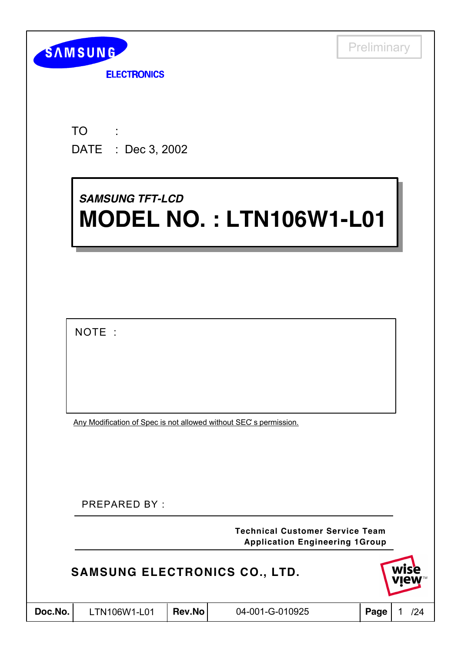

**ELECTRONICS** 

TO DATE : Dec 3, 2002 :

# *SAMSUNG TFT-LCD SAMSUNG TFT-LCD* **MODEL NO. : LTN106W1-L01 MODEL NO. : LTN106W1-L01**

NOTE :

Any Modification of Spec is not allowed without SEC' s permission.

PREPARED BY :

**Application Engineering 1Group Technical Customer Service Team**

### **SAMSUNG ELECTRONICS CO., LTD.**

| Doc.No. |  |
|---------|--|
|---------|--|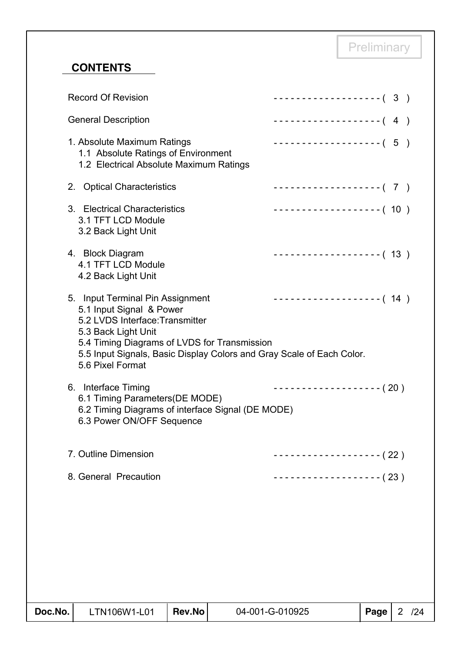### **CONTENTS**

| Doc.No. | LTN106W1-L01                                                                                                                                                                                                                                                        | Rev.No | 04-001-G-010925                            | Page | 2 / 24 |
|---------|---------------------------------------------------------------------------------------------------------------------------------------------------------------------------------------------------------------------------------------------------------------------|--------|--------------------------------------------|------|--------|
|         |                                                                                                                                                                                                                                                                     |        |                                            |      |        |
|         |                                                                                                                                                                                                                                                                     |        |                                            |      |        |
|         | 8. General Precaution                                                                                                                                                                                                                                               |        | ------------------- ( 23 )                 |      |        |
|         | 7. Outline Dimension                                                                                                                                                                                                                                                |        | - - - - - - - - - - - - - - - - - - ( 22 ) |      |        |
|         | 6. Interface Timing<br>6.1 Timing Parameters (DE MODE)<br>6.2 Timing Diagrams of interface Signal (DE MODE)<br>6.3 Power ON/OFF Sequence                                                                                                                            |        | ------------------ (20)                    |      |        |
|         | 5. Input Terminal Pin Assignment<br>5.1 Input Signal & Power<br>5.2 LVDS Interface: Transmitter<br>5.3 Back Light Unit<br>5.4 Timing Diagrams of LVDS for Transmission<br>5.5 Input Signals, Basic Display Colors and Gray Scale of Each Color.<br>5.6 Pixel Format |        | ------------------- (14)                   |      |        |
|         | 4. Block Diagram<br>4.1 TFT LCD Module<br>4.2 Back Light Unit                                                                                                                                                                                                       |        | ------------------- (13)                   |      |        |
|         | 3. Electrical Characteristics<br>3.1 TFT LCD Module<br>3.2 Back Light Unit                                                                                                                                                                                          |        | ------------------- (10)                   |      |        |
|         | 2. Optical Characteristics                                                                                                                                                                                                                                          |        | ------------------- (7)                    |      |        |
|         | 1. Absolute Maximum Ratings<br>1.1 Absolute Ratings of Environment<br>1.2 Electrical Absolute Maximum Ratings                                                                                                                                                       |        | $------------(-5)$                         |      |        |
|         | <b>General Description</b>                                                                                                                                                                                                                                          |        | $------------(-4)$                         |      |        |
|         | <b>Record Of Revision</b>                                                                                                                                                                                                                                           |        | $------------(-3)$                         |      |        |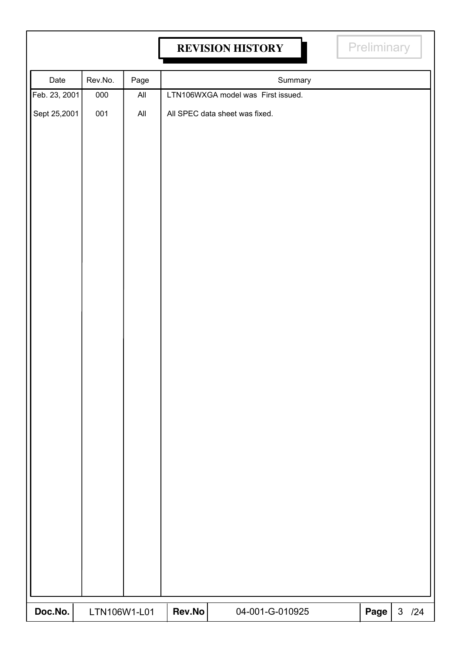## **REVISION HISTORY REVISION HISTORY**

| Date          | Rev.No.      | Page           |        | Summary                            |      |          |
|---------------|--------------|----------------|--------|------------------------------------|------|----------|
| Feb. 23, 2001 | 000          | $\mathsf{All}$ |        | LTN106WXGA model was First issued. |      |          |
| Sept 25,2001  | 001          | $\mathsf{All}$ |        | All SPEC data sheet was fixed.     |      |          |
| Doc.No.       | LTN106W1-L01 |                | Rev.No | 04-001-G-010925                    | Page | $3 / 24$ |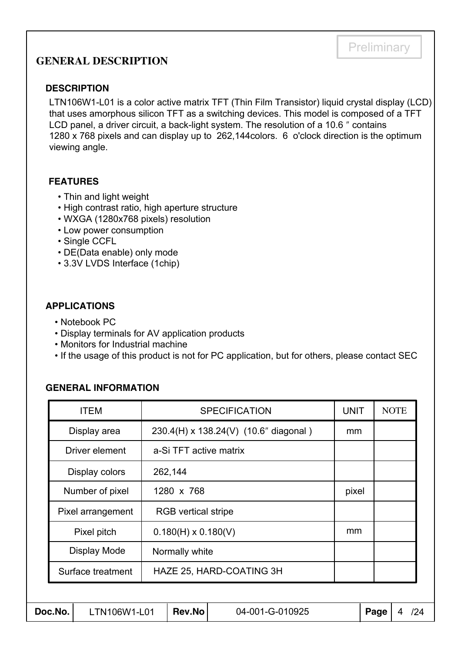### **GENERAL DESCRIPTION**

#### **DESCRIPTION**

LTN106W1-L01 is a color active matrix TFT (Thin Film Transistor) liquid crystal display (LCD) that uses amorphous silicon TFT as a switching devices. This model is composed of a TFT LCD panel, a driver circuit, a back-light system. The resolution of a 10.6 ″ contains 1280 x 768 pixels and can display up to 262,144colors. 6 o'clock direction is the optimum viewing angle.

#### **FEATURES**

- Thin and light weight
- High contrast ratio, high aperture structure
- WXGA (1280x768 pixels) resolution
- Low power consumption
- Single CCFL
- DE(Data enable) only mode
- 3.3V LVDS Interface (1chip)

#### **APPLICATIONS**

- Notebook PC
- Display terminals for AV application products
- Monitors for Industrial machine
- If the usage of this product is not for PC application, but for others, please contact SEC

#### **GENERAL INFORMATION**

|                                               | <b>ITEM</b>       |  |                                       | <b>SPECIFICATION</b> | <b>UNIT</b> |      | <b>NOTE</b> |
|-----------------------------------------------|-------------------|--|---------------------------------------|----------------------|-------------|------|-------------|
|                                               | Display area      |  | 230.4(H) x 138.24(V) (10.6" diagonal) |                      |             |      |             |
|                                               | Driver element    |  | a-Si TFT active matrix                |                      |             |      |             |
|                                               | Display colors    |  | 262,144                               |                      |             |      |             |
|                                               | Number of pixel   |  | 1280 x 768                            | pixel                |             |      |             |
|                                               | Pixel arrangement |  | <b>RGB</b> vertical stripe            |                      |             |      |             |
|                                               | Pixel pitch       |  | $0.180(H) \times 0.180(V)$            |                      | mm          |      |             |
|                                               | Display Mode      |  | Normally white                        |                      |             |      |             |
| HAZE 25, HARD-COATING 3H<br>Surface treatment |                   |  |                                       |                      |             |      |             |
|                                               |                   |  |                                       |                      |             |      |             |
| Doc.No.<br>LTN106W1-L01                       |                   |  | <b>Rev.No</b>                         | 04-001-G-010925      |             | Page | 4<br>/24    |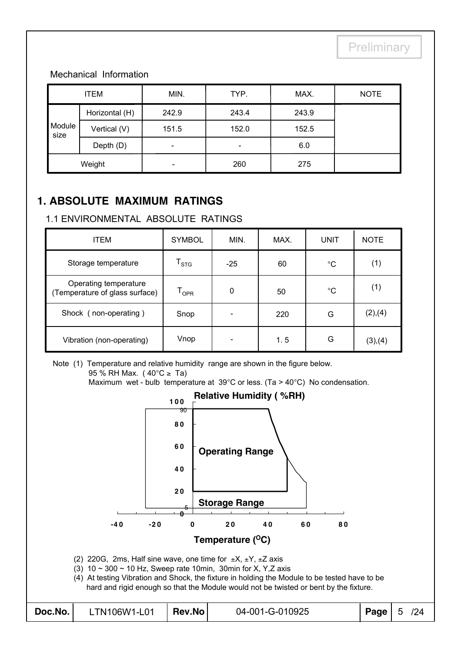#### Mechanical Information

| <b>ITEM</b>    |                | MIN.                     | TYP.  | MAX.  | <b>NOTE</b> |
|----------------|----------------|--------------------------|-------|-------|-------------|
|                | Horizontal (H) | 242.9                    | 243.4 | 243.9 |             |
| Module<br>size | Vertical (V)   | 151.5                    | 152.0 | 152.5 |             |
|                | Depth (D)      | $\overline{\phantom{0}}$ |       | 6.0   |             |
|                | Weight         |                          | 260   | 275   |             |

### **1. ABSOLUTE MAXIMUM RATINGS**

#### 1.1 ENVIRONMENTAL ABSOLUTE RATINGS

| <b>ITEM</b>                                             | <b>SYMBOL</b>               | MIN.  | MAX. | <b>UNIT</b> | <b>NOTE</b> |
|---------------------------------------------------------|-----------------------------|-------|------|-------------|-------------|
| Storage temperature                                     | $\mathsf{T}_{\textsf{STG}}$ | $-25$ | 60   | $^{\circ}C$ | (1)         |
| Operating temperature<br>(Temperature of glass surface) | $\mathsf{T}_{\mathsf{OPR}}$ | 0     | 50   | $^{\circ}C$ | (1)         |
| Shock (non-operating)                                   | Snop                        |       | 220  | G           | (2),(4)     |
| Vibration (non-operating)                               | Vnop                        |       | 1.5  | G           | (3),(4)     |

Note (1) Temperature and relative humidity range are shown in the figure below. 95 % RH Max. ( $40^{\circ}$ C  $\geq$  Ta)

Maximum wet - bulb temperature at 39°C or less. (Ta > 40°C) No condensation.

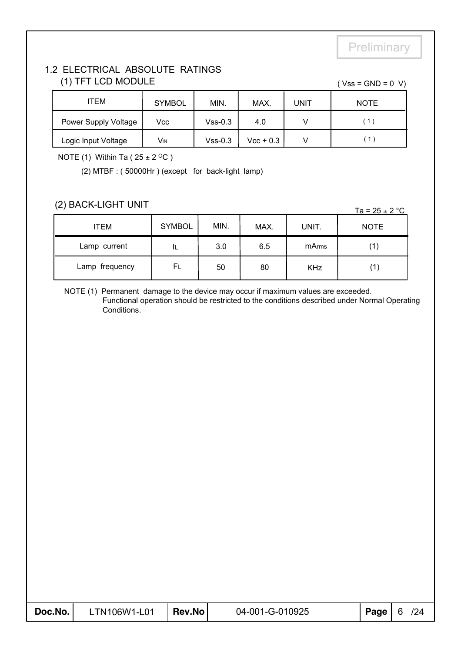#### 1.2 ELECTRICAL ABSOLUTE RATINGS (1) TFT LCD MODULE  $( Vss = GND = 0 V)$

| ITEM                 | <b>SYMBOL</b> | MIN.      | MAX.        | UNIT | <b>NOTE</b>               |
|----------------------|---------------|-----------|-------------|------|---------------------------|
| Power Supply Voltage | Vcc           | $Vss-0.3$ | 4.0         |      | $^{\prime}$ 1 $^{\prime}$ |
| Logic Input Voltage  | Vin           | $Vss-0.3$ | $Vec + 0.3$ |      |                           |

NOTE (1) Within Ta ( $25 \pm 2$  <sup>O</sup>C)

(2) MTBF : ( 50000Hr ) (except for back-light lamp)

#### (2) BACK-LIGHT UNIT

|                |               |      |      |            | $1a - 2J \pm 2$ |
|----------------|---------------|------|------|------------|-----------------|
| <b>ITEM</b>    | <b>SYMBOL</b> | MIN. | MAX. | UNIT.      | <b>NOTE</b>     |
| Lamp current   | IL            | 3.0  | 6.5  | mArms      |                 |
| Lamp frequency | FL            | 50   | 80   | <b>KHz</b> | 1)              |

NOTE (1) Permanent damage to the device may occur if maximum values are exceeded. Functional operation should be restricted to the conditions described under Normal Operating Conditions.

| Doc.No. | LTN106W1-L01 | Rev.No | 04-001-G-010925 | Page $\vert 6$ | 124 |
|---------|--------------|--------|-----------------|----------------|-----|

 $T_a = 25 + 2$  °C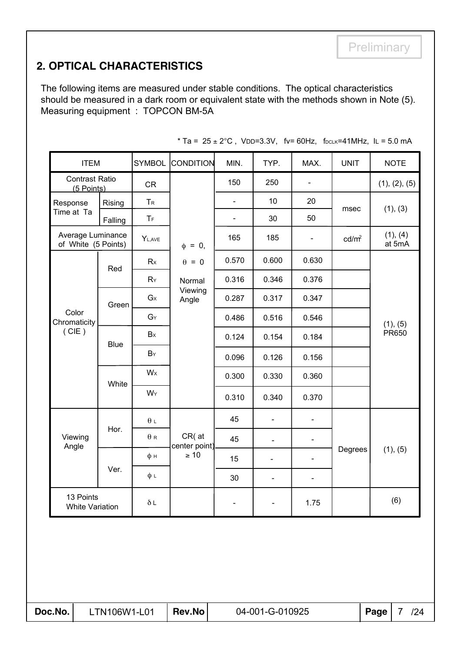### **2. OPTICAL CHARACTERISTICS**

The following items are measured under stable conditions. The optical characteristics should be measured in a dark room or equivalent state with the methods shown in Note (5). Measuring equipment : TOPCON BM-5A

| <b>ITEM</b>                              |             | <b>SYMBOL</b>             | CONDITION                 | MIN.                     | TYP.                     | MAX.                         | <b>UNIT</b>       | <b>NOTE</b>        |  |
|------------------------------------------|-------------|---------------------------|---------------------------|--------------------------|--------------------------|------------------------------|-------------------|--------------------|--|
| <b>Contrast Ratio</b><br>(5 Points)      |             | <b>CR</b>                 |                           | 150                      | 250                      | $\blacksquare$               |                   | (1), (2), (5)      |  |
| Response<br>Rising                       |             | TR                        |                           |                          | 10                       | 20                           | msec              | (1), (3)           |  |
| Time at Ta                               | Falling     | $\mathsf T_{\mathsf F}$   |                           | $\blacksquare$           | 30                       | 50                           |                   |                    |  |
| Average Luminance<br>of White (5 Points) |             | Y <sub>L,AVE</sub>        | $\phi = 0$ ,              | 165                      | 185                      | $\overline{\phantom{a}}$     | cd/m <sup>2</sup> | (1), (4)<br>at 5mA |  |
|                                          | Red         | Rx                        | $\theta = 0$              | 0.570                    | 0.600                    | 0.630                        |                   |                    |  |
|                                          |             | $R_Y$                     | Normal                    | 0.316                    | 0.346                    | 0.376                        |                   |                    |  |
|                                          | Green       | $G_{X}$                   | Viewing<br>Angle          | 0.287                    | 0.317                    | 0.347                        |                   |                    |  |
| Color<br>Chromaticity                    |             | GY                        |                           | 0.486                    | 0.516                    | 0.546                        |                   | (1), (5)           |  |
| (CIE)                                    | <b>Blue</b> | Bx                        |                           | 0.124                    | 0.154                    | 0.184                        |                   | PR650              |  |
|                                          |             | $B_Y$                     |                           | 0.096                    | 0.126                    | 0.156                        |                   |                    |  |
|                                          | White       | W <sub>x</sub>            |                           | 0.300                    | 0.330                    | 0.360                        |                   |                    |  |
|                                          |             | WY                        |                           | 0.310                    | 0.340                    | 0.370                        |                   |                    |  |
|                                          |             | $\theta$ $\scriptstyle\!$ |                           | 45                       | $\blacksquare$           | $\blacksquare$               |                   |                    |  |
| Viewing<br>Angle                         | Hor.        | $\theta$ R                | $CR($ at<br>center point) | 45                       | $\overline{\phantom{a}}$ | $\qquad \qquad \blacksquare$ |                   |                    |  |
|                                          |             | φн                        | $\geq 10$                 | 15                       | $\blacksquare$           | $\qquad \qquad \blacksquare$ | Degrees           | (1), (5)           |  |
|                                          | Ver.        | $\phi L$                  |                           | 30                       | $\blacksquare$           | $\blacksquare$               |                   |                    |  |
| 13 Points<br><b>White Variation</b>      |             | $\delta L$                |                           | $\overline{\phantom{a}}$ | $\blacksquare$           | 1.75                         |                   | (6)                |  |

\* Ta =  $25 \pm 2^{\circ}$ C, VDD=3.3V, fv= 60Hz, f<sub>DCLK</sub>=41MHz, IL = 5.0 mA

| Doc.No. |  |
|---------|--|
|---------|--|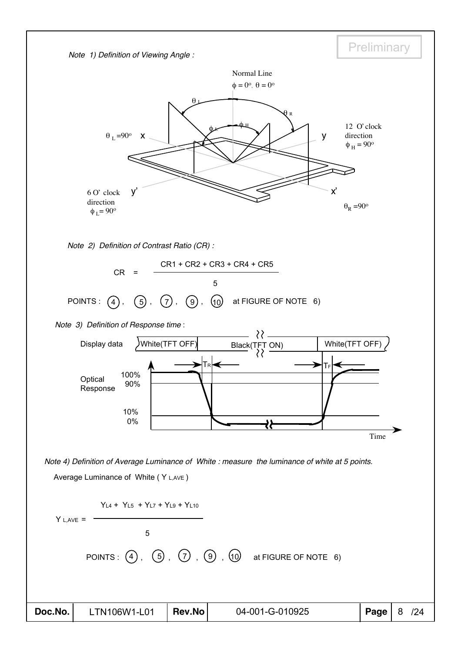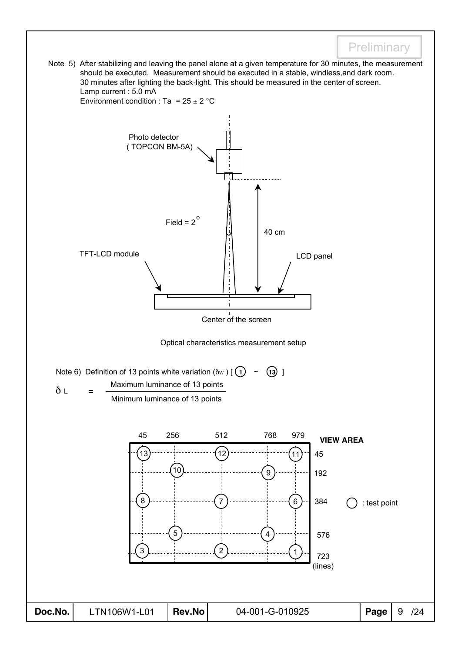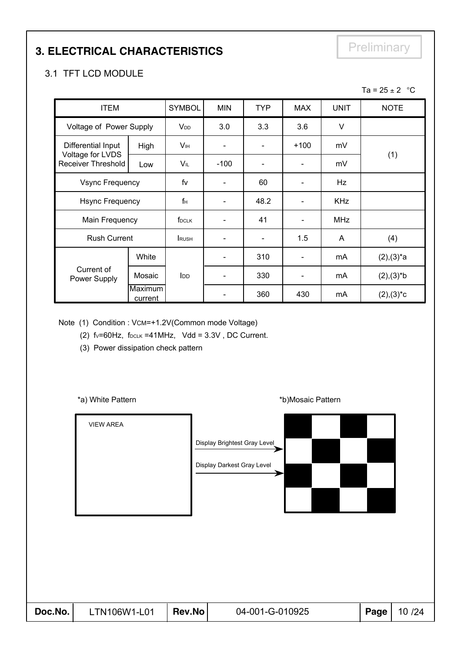### **3. ELECTRICAL CHARACTERISTICS**

### **Preliminary**

### 3.1 TFT LCD MODULE

|                                               |                    |                        |                              |            |                              |             | Ta = $25 \pm 2$ °C |
|-----------------------------------------------|--------------------|------------------------|------------------------------|------------|------------------------------|-------------|--------------------|
| <b>ITEM</b>                                   |                    | <b>SYMBOL</b>          | <b>MIN</b>                   | <b>TYP</b> | <b>MAX</b>                   | <b>UNIT</b> | <b>NOTE</b>        |
| Voltage of Power Supply                       |                    | <b>V</b> <sub>DD</sub> | 3.0                          | 3.3        | 3.6                          | V           |                    |
| Differential Input                            | High               | V <sub>IH</sub>        | $\qquad \qquad \blacksquare$ |            | $+100$                       | mV          |                    |
| Voltage for LVDS<br><b>Receiver Threshold</b> | Low                | VIL                    | $-100$                       |            |                              | mV          | (1)                |
| <b>Vsync Frequency</b>                        |                    | fv                     | $\qquad \qquad \blacksquare$ | 60         |                              | Hz          |                    |
| <b>Hsync Frequency</b>                        |                    | $f_H$                  |                              | 48.2       |                              | <b>KHz</b>  |                    |
| Main Frequency                                |                    | f <sub>DCLK</sub>      |                              | 41         |                              | <b>MHz</b>  |                    |
| <b>Rush Current</b>                           |                    | <b>RUSH</b>            |                              |            | 1.5                          | A           | (4)                |
|                                               | White              |                        |                              | 310        |                              | mA          | $(2),(3)^{*}a$     |
| Current of<br>Power Supply                    | Mosaic             | <b>I</b> DD            | $\qquad \qquad \blacksquare$ | 330        | $\qquad \qquad \blacksquare$ | mA          | $(2),(3)*b$        |
|                                               | Maximum<br>current |                        |                              | 360        | 430                          | mA          | $(2),(3)^*c$       |

Note (1) Condition : VCM=+1.2V(Common mode Voltage)

(2)  $f_v=60Hz$ ,  $f_{DCLK} = 41MHz$ ,  $Vdd = 3.3V$ , DC Current.

(3) Power dissipation check pattern

\*a) White Pattern **\*b**)Mosaic Pattern **\*b**)Mosaic Pattern

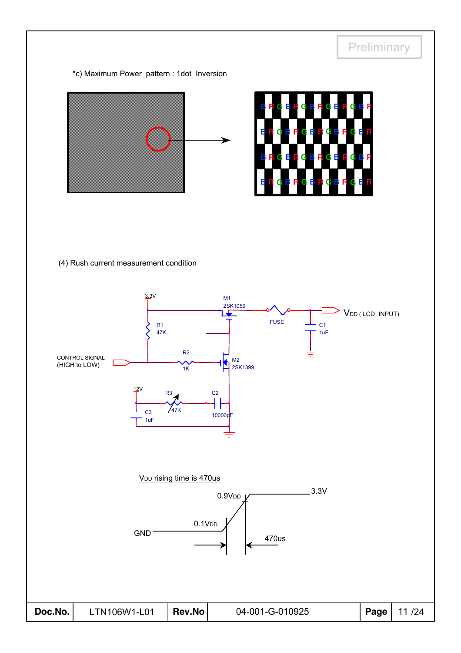

V<sub>DD</sub> rising time is 470us



| Doc.No. | LTN106W1-L01 | Rev.No | 04-001-G-010925 | Page 11/24 |
|---------|--------------|--------|-----------------|------------|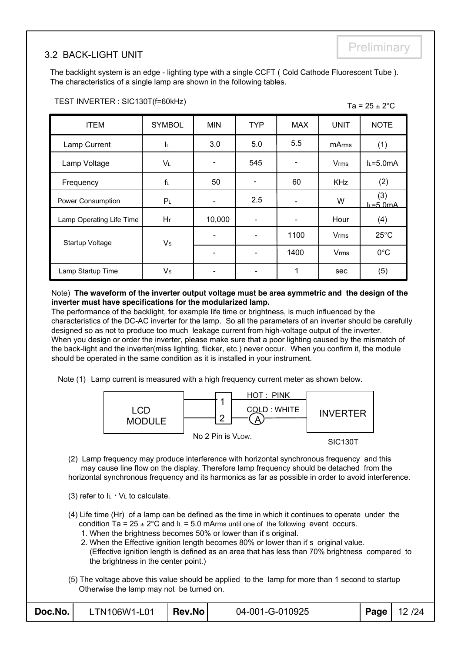#### 3.2 BACK-LIGHT UNIT

The backlight system is an edge - lighting type with a single CCFT ( Cold Cathode Fluorescent Tube ). The characteristics of a single lamp are shown in the following tables.

| <b>ITEM</b>              | <b>SYMBOL</b>  | <b>MIN</b>               | <b>TYP</b>               | <b>MAX</b> | <b>UNIT</b>            | <b>NOTE</b>        |
|--------------------------|----------------|--------------------------|--------------------------|------------|------------------------|--------------------|
| Lamp Current             | IL.            | 3.0                      | 5.0                      | 5.5        | <b>mArms</b>           | (1)                |
| Lamp Voltage             | VL             | $\overline{\phantom{a}}$ | 545                      |            | Vrms                   | $L = 5.0mA$        |
| Frequency                | $f_L$          | 50                       |                          | 60         | <b>KHz</b>             | (2)                |
| Power Consumption        | P <sub>L</sub> | $\overline{\phantom{a}}$ | 2.5                      |            | W                      | (3)<br>$L = 5.0mA$ |
| Lamp Operating Life Time | Hr             | 10,000                   |                          |            | Hour                   | (4)                |
| Startup Voltage          | V <sub>s</sub> | $\overline{\phantom{a}}$ |                          | 1100       | <b>V<sub>rms</sub></b> | $25^{\circ}$ C     |
|                          |                | $\overline{\phantom{a}}$ | $\overline{\phantom{0}}$ | 1400       | <b>V<sub>rms</sub></b> | $0^{\circ}$ C      |
| Lamp Startup Time        | V <sub>s</sub> |                          |                          | 1          | sec                    | (5)                |

#### TEST INVERTER : SIC130T(f=60kHz)  $\overline{a} = 25 \div 2^{\circ}C$

#### Note) **The waveform of the inverter output voltage must be area symmetric and the design of the inverter must have specifications for the modularized lamp.**

The performance of the backlight, for example life time or brightness, is much influenced by the characteristics of the DC-AC inverter for the lamp. So all the parameters of an inverter should be carefully designed so as not to produce too much leakage current from high-voltage output of the inverter. When you design or order the inverter, please make sure that a poor lighting caused by the mismatch of the back-light and the inverter(miss lighting, flicker, etc.) never occur. When you confirm it, the module should be operated in the same condition as it is installed in your instrument.

Note (1) Lamp current is measured with a high frequency current meter as shown below.



(2) Lamp frequency may produce interference with horizontal synchronous frequency and this may cause line flow on the display. Therefore lamp frequency should be detached from the horizontal synchronous frequency and its harmonics as far as possible in order to avoid interference.

- (3) refer to  $I_L * V_L$  to calculate.
- (4) Life time (Hr) of a lamp can be defined as the time in which it continues to operate under the condition Ta =  $25 \pm 2^{\circ}$ C and I<sub>L</sub> = 5.0 mArms until one of the following event occurs.
	- 1. When the brightness becomes 50% or lower than if s original.
	- 2. When the Effective ignition length becomes 80% or lower than it s original value. (Effective ignition length is defined as an area that has less than 70% brightness compared to the brightness in the center point.)
- (5) The voltage above this value should be applied to the lamp for more than 1 second to startup Otherwise the lamp may not be turned on.

| Doc.No. | $LTN106W1-L01$ Rev.No |  | 04-001-G-010925 |  | Page   12 /24 |
|---------|-----------------------|--|-----------------|--|---------------|
|---------|-----------------------|--|-----------------|--|---------------|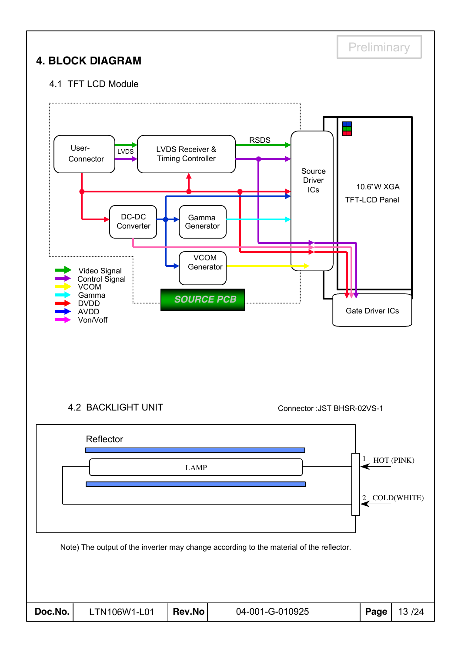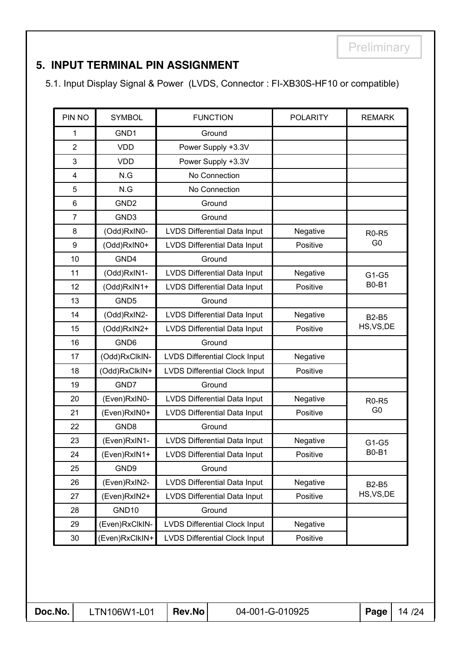### **5. INPUT TERMINAL PIN ASSIGNMENT**

5.1. Input Display Signal & Power (LVDS, Connector : FI-XB30S-HF10 or compatible)

| PIN NO         | <b>SYMBOL</b>    | <b>FUNCTION</b>                      | <b>POLARITY</b> | <b>REMARK</b>  |
|----------------|------------------|--------------------------------------|-----------------|----------------|
| 1              | GND1             | Ground                               |                 |                |
| $\overline{2}$ | <b>VDD</b>       | Power Supply +3.3V                   |                 |                |
| 3              | <b>VDD</b>       | Power Supply +3.3V                   |                 |                |
| 4              | N.G              | No Connection                        |                 |                |
| 5              | N.G              | No Connection                        |                 |                |
| 6              | GND <sub>2</sub> | Ground                               |                 |                |
| $\overline{7}$ | GND3             | Ground                               |                 |                |
| 8              | (Odd)RxIN0-      | LVDS Differential Data Input         | Negative        | <b>R0-R5</b>   |
| 9              | (Odd)RxIN0+      | LVDS Differential Data Input         | Positive        | G <sub>0</sub> |
| 10             | GND4             | Ground                               |                 |                |
| 11             | (Odd)RxIN1-      | LVDS Differential Data Input         | Negative        | G1-G5          |
| 12             | (Odd)RxIN1+      | <b>LVDS Differential Data Input</b>  | Positive        | <b>B0-B1</b>   |
| 13             | GND <sub>5</sub> | Ground                               |                 |                |
| 14             | (Odd)RxIN2-      | LVDS Differential Data Input         | Negative        | <b>B2-B5</b>   |
| 15             | (Odd)RxIN2+      | LVDS Differential Data Input         | Positive        | HS, VS, DE     |
| 16             | GND <sub>6</sub> | Ground                               |                 |                |
| 17             | (Odd)RxClkIN-    | <b>LVDS Differential Clock Input</b> | Negative        |                |
| 18             | (Odd)RxClkIN+    | <b>LVDS Differential Clock Input</b> | Positive        |                |
| 19             | GND7             | Ground                               |                 |                |
| 20             | (Even)RxIN0-     | <b>LVDS Differential Data Input</b>  | Negative        | <b>R0-R5</b>   |
| 21             | (Even)RxIN0+     | LVDS Differential Data Input         | Positive        | G <sub>0</sub> |
| 22             | GND8             | Ground                               |                 |                |
| 23             | (Even)RxIN1-     | LVDS Differential Data Input         | Negative        | G1-G5          |
| 24             | (Even)RxIN1+     | LVDS Differential Data Input         | Positive        | <b>B0-B1</b>   |
| 25             | GND9             | Ground                               |                 |                |
| 26             | (Even)RxIN2-     | LVDS Differential Data Input         | Negative        | <b>B2-B5</b>   |
| 27             | (Even)RxIN2+     | LVDS Differential Data Input         | Positive        | HS, VS, DE     |
| 28             | GND10            | Ground                               |                 |                |
| 29             | (Even)RxClkIN-   | <b>LVDS Differential Clock Input</b> | Negative        |                |
| $30\,$         | (Even)RxClkIN+   | <b>LVDS Differential Clock Input</b> | Positive        |                |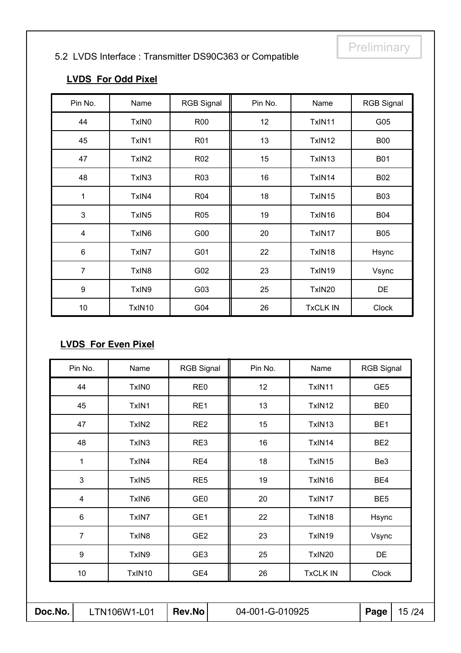### 5.2 LVDS Interface : Transmitter DS90C363 or Compatible

### **LVDS For Odd Pixel**

| Pin No.        | Name              | <b>RGB Signal</b> | Pin No. | Name            | <b>RGB Signal</b> |
|----------------|-------------------|-------------------|---------|-----------------|-------------------|
| 44             | TxIN <sub>0</sub> | <b>R00</b>        | 12      | TxIN11          | G05               |
| 45             | TxIN1             | R01               | 13      | TxIN12          | <b>B00</b>        |
| 47             | TxIN <sub>2</sub> | R <sub>02</sub>   | 15      | TxIN13          | <b>B01</b>        |
| 48             | TxIN3             | R <sub>03</sub>   | 16      | TxIN14          | <b>B02</b>        |
| 1              | TxIN4             | R04               | 18      | TxIN15          | <b>B03</b>        |
| 3              | TxIN <sub>5</sub> | R05               | 19      | TxIN16          | <b>B04</b>        |
| 4              | TxIN6             | G00               | 20      | TxIN17          | <b>B05</b>        |
| $6\phantom{1}$ | TxIN7             | G01               | 22      | TxIN18          | Hsync             |
| $\overline{7}$ | TxIN <sub>8</sub> | G02               | 23      | TxIN19          | Vsync             |
| 9              | TxIN9             | G03               | 25      | TxIN20          | <b>DE</b>         |
| 10             | TxIN10            | G04               | 26      | <b>TxCLK IN</b> | <b>Clock</b>      |

#### **LVDS For Even Pixel**

| Doc.No.                           | LTN106W1-L01      | Rev.No            | 04-001-G-010925 |                 | Page              | 15 /24 |
|-----------------------------------|-------------------|-------------------|-----------------|-----------------|-------------------|--------|
|                                   |                   |                   |                 |                 |                   |        |
| 10                                | TxIN10            | GE4               | 26              | <b>TxCLK IN</b> | Clock             |        |
| 9                                 | TxIN9             | GE <sub>3</sub>   | 25              | TxIN20          | DE                |        |
| $\overline{7}$                    | TxIN <sub>8</sub> | GE <sub>2</sub>   | 23              | TxIN19          | Vsync             |        |
| $\,6$                             | TxIN7             | GE1               | 22              | TxIN18          | Hsync             |        |
| $\overline{\mathbf{4}}$           | TxIN6             | GE <sub>0</sub>   | 20              | TxIN17          | BE <sub>5</sub>   |        |
| $\mathbf{3}$<br>TxIN <sub>5</sub> |                   | RE <sub>5</sub>   | 19              | TxIN16          | BE4               |        |
| TxIN4<br>1                        |                   | RE4               | 18              | TxIN15          | Be <sub>3</sub>   |        |
| 48<br>TxIN3                       |                   | RE3               | 16              | TxIN14          | BE <sub>2</sub>   |        |
| 47                                | TxIN <sub>2</sub> | RE <sub>2</sub>   | 15              | TxIN13          | BE <sub>1</sub>   |        |
| 45                                | TxIN1             | RE1               | 13              | TxIN12          | BE <sub>0</sub>   |        |
| 44                                | TxIN0             | RE <sub>0</sub>   | 12              | TxIN11          | GE <sub>5</sub>   |        |
| Pin No.                           | Name              | <b>RGB Signal</b> | Pin No.         | Name            | <b>RGB Signal</b> |        |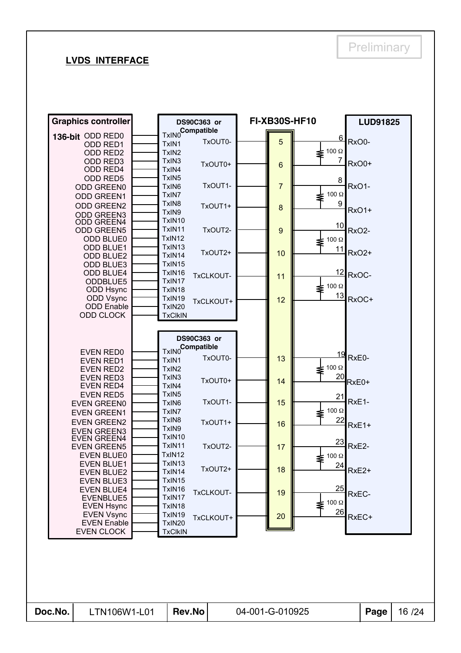#### **LVDS INTERFACE**

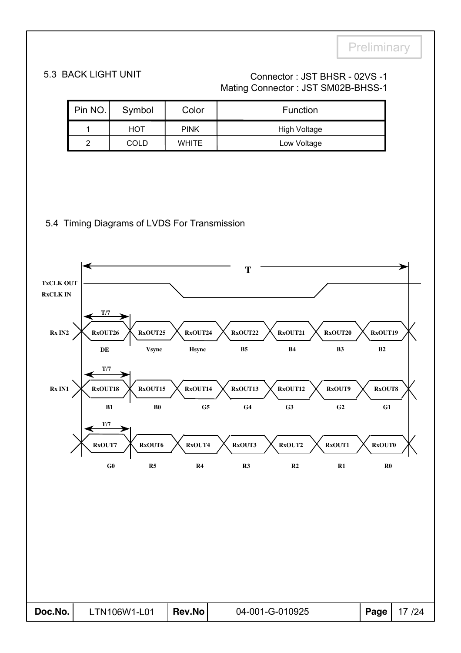### 5.3 BACK LIGHT UNIT Connector : JST BHSR - 02VS -1 Mating Connector : JST SM02B-BHSS-1

| Pin NO. | Symbol      | Color        | Function     |  |  |  |  |  |
|---------|-------------|--------------|--------------|--|--|--|--|--|
|         | HOT         | <b>PINK</b>  | High Voltage |  |  |  |  |  |
| റ       | <b>COLD</b> | <b>WHITE</b> | Low Voltage  |  |  |  |  |  |

#### 5.4 Timing Diagrams of LVDS For Transmission

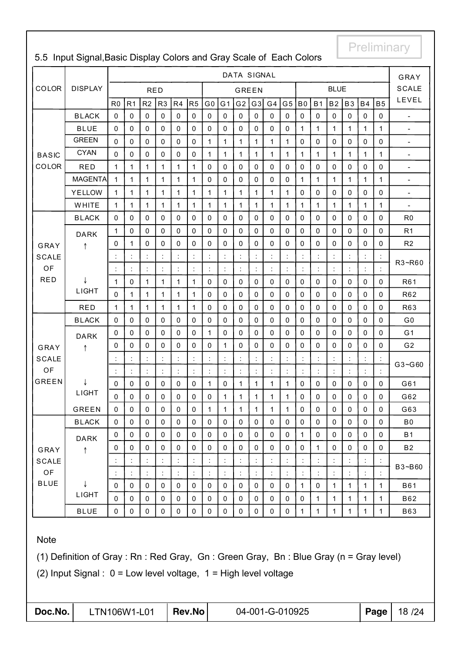|              |                |                |                      |                |                |                |                |                      |                | DATA SIGNAL    |              |              |                |                |                |                      |              |              |              | GRAY                     |
|--------------|----------------|----------------|----------------------|----------------|----------------|----------------|----------------|----------------------|----------------|----------------|--------------|--------------|----------------|----------------|----------------|----------------------|--------------|--------------|--------------|--------------------------|
| COLOR        | <b>DISPLAY</b> |                |                      | <b>RED</b>     |                |                |                |                      |                | <b>GREEN</b>   |              |              |                |                |                | <b>BLUE</b>          |              |              |              | <b>SCALE</b>             |
|              |                | R <sub>0</sub> | R <sub>1</sub>       | R <sub>2</sub> | R <sub>3</sub> | R4             | R5             | G <sub>0</sub>       | G <sub>1</sub> | G <sub>2</sub> | G3           | G4           | G <sub>5</sub> | B <sub>0</sub> | <b>B1</b>      | <b>B2</b>            | <b>B3</b>    | <b>B4</b>    | <b>B5</b>    | LEVEL                    |
|              | <b>BLACK</b>   | 0              | $\mathsf 0$          | $\mathbf 0$    | $\mathbf{0}$   | $\mathbf 0$    | $\mathbf 0$    | $\mathbf{0}$         | $\mathbf 0$    | $\mathbf 0$    | 0            | $\mathbf 0$  | $\mathbf 0$    | $\pmb{0}$      | $\mathbf 0$    | $\pmb{0}$            | $\mathbf{0}$ | $\mathbf 0$  | $\mathbf 0$  | $\overline{a}$           |
|              | <b>BLUE</b>    | 0              | $\mathbf 0$          | $\mathbf 0$    | $\mathbf 0$    | $\mathbf 0$    | $\mathbf 0$    | $\mathbf 0$          | $\mathbf 0$    | $\mathbf 0$    | 0            | $\pmb{0}$    | $\pmb{0}$      | $\mathbf{1}$   | 1              | $\mathbf{1}$         | $\mathbf{1}$ | $\mathbf{1}$ | $\mathbf{1}$ | $\frac{1}{2}$            |
|              | <b>GREEN</b>   | 0              | 0                    | 0              | $\Omega$       | 0              | 0              | 1                    | 1              | 1              | $\mathbf 1$  | 1            | 1              | $\mathbf 0$    | 0              | 0                    | $\mathbf 0$  | 0            | 0            | $\overline{\phantom{a}}$ |
| <b>BASIC</b> | <b>CYAN</b>    | 0              | $\mathbf 0$          | $\mathbf 0$    | $\mathbf 0$    | $\mathbf 0$    | $\pmb{0}$      | 1                    | 1              | 1              | 1            | 1            | 1              | $\mathbf 1$    | 1              | 1                    | 1            | 1            | 1            | $\overline{\phantom{a}}$ |
| COLOR        | <b>RED</b>     | $\mathbf{1}$   | $\mathbf{1}$         | $\mathbf{1}$   | $\mathbf{1}$   | $\mathbf{1}$   | $\mathbf{1}$   | $\mathbf 0$          | $\Omega$       | $\mathbf 0$    | $\Omega$     | $\mathbf 0$  | $\mathbf 0$    | $\mathbf 0$    | $\mathbf 0$    | 0                    | $\mathbf 0$  | $\mathbf 0$  | $\mathbf 0$  | $\blacksquare$           |
|              | <b>MAGENTA</b> | $\mathbf{1}$   | $\mathbf{1}$         | 1              | $\mathbf{1}$   | 1              | $\mathbf{1}$   | $\mathbf 0$          | $\pmb{0}$      | $\mathbf 0$    | 0            | $\mathbf 0$  | $\pmb{0}$      | 1              | 1              | 1                    | $\mathbf{1}$ | $\mathbf{1}$ | 1            | $\blacksquare$           |
|              | <b>YELLOW</b>  | $\mathbf{1}$   | 1                    | 1              | $\mathbf{1}$   | 1              | 1              | $\mathbf 1$          | $\mathbf{1}$   | 1              | 1            | 1            | 1              | $\mathbf 0$    | 0              | 0                    | $\mathbf 0$  | 0            | 0            | $\overline{\phantom{a}}$ |
|              | WHITE          | $\mathbf{1}$   | $\mathbf{1}$         | 1              | $\mathbf{1}$   | 1              | $\mathbf{1}$   | $\mathbf{1}$         | $\mathbf{1}$   | $\mathbf{1}$   | 1            | 1            | 1              | $\mathbf{1}$   | 1              | $\mathbf{1}$         | $\mathbf{1}$ | $\mathbf{1}$ | $\mathbf{1}$ | $\overline{\phantom{a}}$ |
|              | <b>BLACK</b>   | 0              | $\pmb{0}$            | $\mathbf 0$    | $\mathbf{0}$   | $\mathbf 0$    | $\pmb{0}$      | $\mathbf{0}$         | $\mathbf 0$    | $\mathbf{0}$   | 0            | $\mathbf{0}$ | $\pmb{0}$      | $\mathbf 0$    | $\mathbf 0$    | 0                    | $\mathbf{0}$ | $\mathbf 0$  | 0            | R <sub>0</sub>           |
|              | <b>DARK</b>    | 1              | $\mathbf 0$          | $\mathbf 0$    | $\mathbf 0$    | $\mathbf 0$    | $\mathbf 0$    | $\mathbf 0$          | $\mathbf 0$    | $\mathbf{0}$   | 0            | $\pmb{0}$    | $\mathbf 0$    | $\pmb{0}$      | $\mathbf 0$    | $\mathbf 0$          | $\mathbf{0}$ | $\mathbf 0$  | $\Omega$     | R <sub>1</sub>           |
| GRAY         | ↑              | 0              | 1                    | 0              | $\mathbf{0}$   | 0              | 0              | 0                    | 0              | $\mathbf 0$    | 0            | $\mathbf{0}$ | 0              | $\mathbf 0$    | 0              | 0                    | $\mathbf 0$  | 0            | 0            | R2                       |
| <b>SCALE</b> |                |                |                      |                |                |                | ċ              | $\ddot{\cdot}$       | t,             |                |              |              |                |                |                |                      |              | t,           |              |                          |
| OF           |                |                | $\ddot{\phantom{a}}$ |                |                |                | ċ              | $\ddot{\cdot}$       | ł,             | ÷              |              |              |                |                |                | $\ddot{\cdot}$       | ċ            | ÷            |              | R3~R60                   |
| <b>RED</b>   | ↓              | $\mathbf{1}$   | $\mathbf 0$          | 1              | $\mathbf{1}$   | 1              | $\mathbf{1}$   | $\pmb{0}$            | $\pmb{0}$      | $\mathbf 0$    | 0            | 0            | 0              | $\mathbf 0$    | $\pmb{0}$      | $\pmb{0}$            | $\mathbf 0$  | $\pmb{0}$    | $\mathbf 0$  | R61                      |
|              | LIGHT          | 0              | 1                    | 1              | $\mathbf{1}$   | $\mathbf{1}$   | $\mathbf 1$    | 0                    | 0              | $\mathbf 0$    | 0            | $\Omega$     | 0              | $\mathbf 0$    | 0              | 0                    | $\mathbf 0$  | 0            | 0            | R62                      |
|              | <b>RED</b>     | $\mathbf{1}$   | $\mathbf{1}$         | 1              | $\mathbf{1}$   | $\mathbf{1}$   | $\mathbf{1}$   | $\mathbf 0$          | $\mathbf 0$    | $\mathbf 0$    | 0            | $\mathbf 0$  | $\mathbf 0$    | $\pmb{0}$      | 0              | $\pmb{0}$            | $\mathbf 0$  | $\pmb{0}$    | $\Omega$     | R63                      |
|              | <b>BLACK</b>   | 0              | $\pmb{0}$            | $\mathbf 0$    | $\mathbf{0}$   | $\mathbf 0$    | $\pmb{0}$      | $\mathbf 0$          | $\mathbf 0$    | $\mathbf{0}$   | 0            | $\mathbf 0$  | $\mathbf 0$    | $\mathbf 0$    | $\mathbf 0$    | $\mathbf 0$          | $\mathbf 0$  | $\pmb{0}$    | 0            | G <sub>0</sub>           |
|              | <b>DARK</b>    | 0              | $\mathbf 0$          | $\mathbf 0$    | $\Omega$       | $\mathbf 0$    | $\pmb{0}$      | 1                    | 0              | $\mathbf 0$    | 0            | $\Omega$     | 0              | $\mathbf 0$    | 0              | $\mathbf 0$          | $\mathbf 0$  | 0            | $\Omega$     | G <sub>1</sub>           |
| GRAY         | ↑              | 0              | $\pmb{0}$            | $\mathbf{0}$   | $\mathbf 0$    | $\mathbf 0$    | 0              | $\mathbf 0$          | 1              | $\mathbf 0$    | 0            | $\Omega$     | $\mathbf 0$    | $\mathbf 0$    | 0              | 0                    | $\mathbf 0$  | 0            | 0            | G <sub>2</sub>           |
| <b>SCALE</b> |                |                |                      |                |                |                |                | $\ddot{\cdot}$       | t,             |                |              |              |                |                |                | $\vdots$             |              | t,           |              |                          |
| OF           |                |                | $\ddot{\phantom{a}}$ |                |                |                | $\ddot{\cdot}$ | $\ddot{\phantom{a}}$ | ÷.             |                |              |              |                |                |                | $\ddot{\cdot}$       | ÷            | ÷.           |              | G3~G60                   |
| <b>GREEN</b> |                | 0              | $\mathbf 0$          | $\mathbf 0$    | 0              | $\mathbf 0$    | $\pmb{0}$      | 1                    | 0              | 1              | $\mathbf{1}$ | 1            | 1              | $\mathbf 0$    | 0              | 0                    | $\mathbf 0$  | $\pmb{0}$    | 0            | G61                      |
|              | LIGHT          | 0              | $\mathbf 0$          | 0              | 0              | 0              | 0              | 0                    | 1              | 1              | 1            | 1            | 1              | 0              | 0              | 0                    | 0            | 0            | 0            | G62                      |
|              | <b>GREEN</b>   | 0              | 0                    | $\pmb{0}$      | 0              | 0              | 0              | $\mathbf{1}$         | $\mathbf{1}$   | 1              | 1            | 1            | $\mathbf{1}$   | $\mathbf 0$    | 0              | 0                    | $\pmb{0}$    | $\pmb{0}$    | 0            | G63                      |
|              | <b>BLACK</b>   | 0              | $\pmb{0}$            | 0              | 0              | $\mathbf 0$    | $\pmb{0}$      | $\mathbf 0$          | 0              | $\mathbf 0$    | 0            | 0            | 0              | $\mathbf 0$    | 0              | 0                    | $\mathbf 0$  | $\mathbf 0$  | 0            | B <sub>0</sub>           |
|              | <b>DARK</b>    | 0              | 0                    | 0              | 0              | 0              | 0              | 0                    | 0              | 0              | 0            | 0            | 0              | 1              | 0              | 0                    | 0            | 0            | 0            | <b>B1</b>                |
| GRAY         | ↑              | 0              | 0                    | 0              | 0              | 0              | 0              | 0                    | 0              | 0              | 0            | 0            | 0              | 0              | 1              | 0                    | 0            | 0            | 0            | <b>B2</b>                |
| <b>SCALE</b> |                |                | $\ddot{\phantom{a}}$ |                |                |                | t              | $\ddot{\cdot}$       | Ì,             | ł,             |              |              |                |                | Ì              | $\ddot{\phantom{a}}$ | t            | t            |              |                          |
| OF           |                | $\ddot{\cdot}$ | $\ddot{\phantom{a}}$ | t              | $\ddot{\cdot}$ | $\ddot{\cdot}$ | $\ddot{\cdot}$ | $\ddot{\cdot}$       | ÷              | t,             |              |              | $\ddot{\cdot}$ | $\ddot{\cdot}$ | $\ddot{\cdot}$ | $\ddot{\cdot}$       | ÷            | t,           |              | B3~B60                   |
| <b>BLUE</b>  | ↓              | 0              | $\mathbf 0$          | 0              | 0              | 0              | 0              | 0                    | 0              | $\mathbf 0$    | 0            | 0            | 0              | 1              | 0              | 1                    | $\mathbf{1}$ | $\mathbf{1}$ | 1            | <b>B61</b>               |
|              | LIGHT          | 0              | 0                    | 0              | 0              | 0              | 0              | 0                    | 0              | 0              | 0            | 0            | 0              | 0              | 1              | 1                    | 1            | 1            | 1            | B62                      |
|              | <b>BLUE</b>    | 0              | $\pmb{0}$            | $\pmb{0}$      | 0              | $\mathbf 0$    | 0              | 0                    | 0              | $\pmb{0}$      | 0            | $\pmb{0}$    | $\mathsf 0$    | 1              | 1              | 1                    | $\mathbf{1}$ | $\mathbf{1}$ | 1            | <b>B63</b>               |

### 5.5 Input Signal,Basic Display Colors and Gray Scale of Each Colors

### Note

(1) Definition of Gray : Rn : Red Gray, Gn : Green Gray, Bn : Blue Gray (n = Gray level)

(2) Input Signal : 0 = Low level voltage, 1 = High level voltage

| Doc.No. |
|---------|
|---------|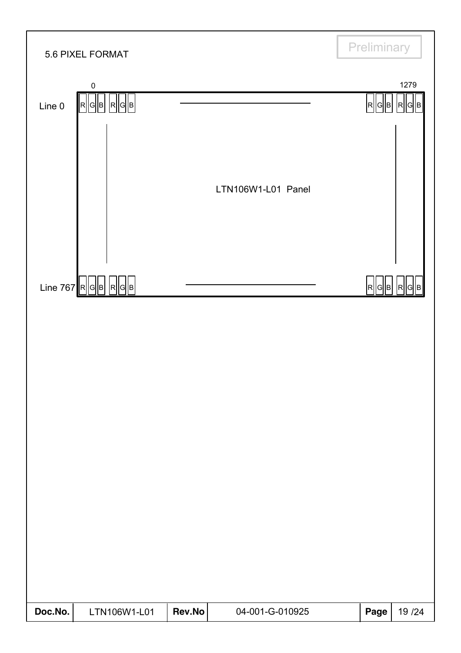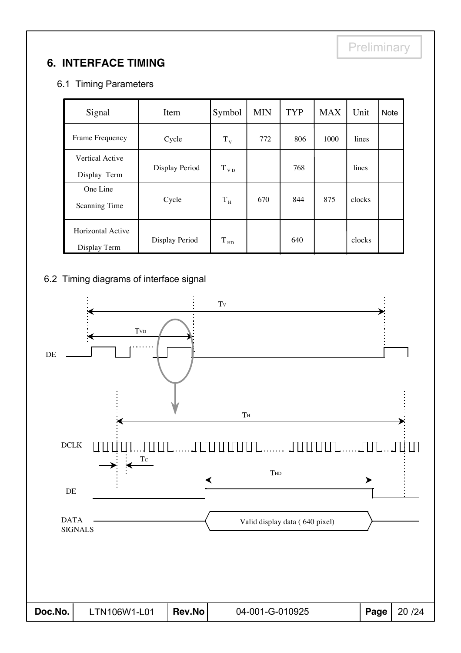### **6. INTERFACE TIMING**

### 6.1 Timing Parameters

| Signal            | Item           |           | <b>MIN</b> | <b>TYP</b> | <b>MAX</b> | Unit   | <b>Note</b> |
|-------------------|----------------|-----------|------------|------------|------------|--------|-------------|
| Frame Frequency   | Cycle          | $T_{V}$   | 772        | 806        | 1000       | lines  |             |
| Vertical Active   |                |           |            |            |            |        |             |
| Display Term      | Display Period | $T_{VD}$  |            | 768        |            | lines  |             |
| One Line          |                |           |            |            |            |        |             |
| Scanning Time     | Cycle          | $\rm T_H$ | 670        | 844        | 875        | clocks |             |
| Horizontal Active |                |           |            |            |            |        |             |
| Display Term      | Display Period | $T_{HD}$  |            | 640        |            | clocks |             |

#### 6.2 Timing diagrams of interface signal

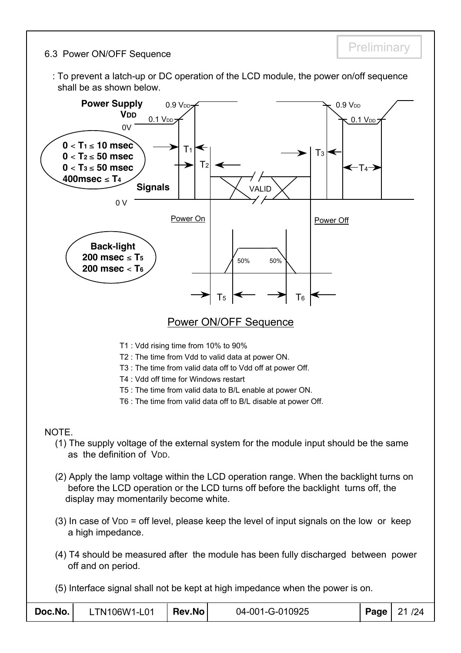#### 6.3 Power ON/OFF Sequence

: To prevent a latch-up or DC operation of the LCD module, the power on/off sequence shall be as shown below.

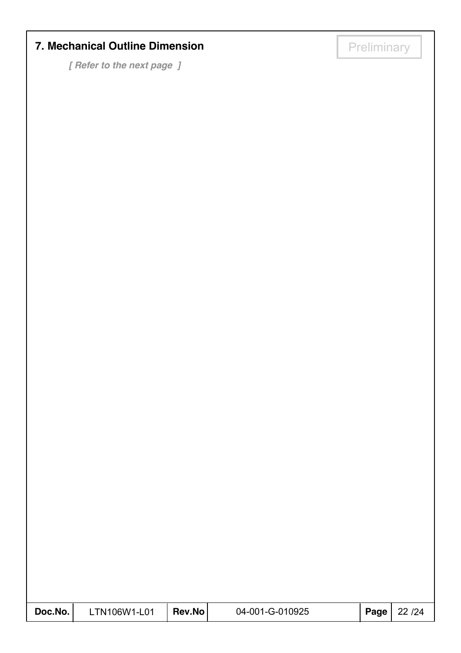## **7. Mechanical Outline Dimension**

*[ Refer to the next page ]*

| Doc.No. | -TN106W1-L01 | Rev.No | 04-001-G-010925 | <b>Page</b>   22 / 24 |
|---------|--------------|--------|-----------------|-----------------------|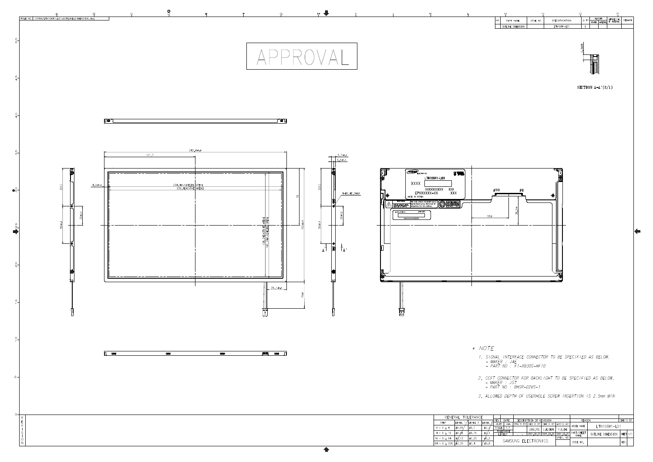

|           | M                 | N       |               |                       |               |                 | P             |        |
|-----------|-------------------|---------|---------------|-----------------------|---------------|-----------------|---------------|--------|
| <b>NO</b> | PART NAME         | CODE NO | SPECIFICATION | $Q^{\prime}$ TY       | WE I GHT      |                 | UNFOLDED DIM. | REMARK |
|           |                   |         |               |                       | <b>FINISH</b> | <b>MATERIAL</b> | OF. MATERIAL  |        |
|           | OUTLINE DIMENSION |         | LTN106W1-L01  |                       |               |                 |               |        |
|           |                   |         |               | <b>SMIN</b><br>$\sim$ | -             |                 |               |        |

SECTION  $A-A'(2/1)$ 

*1. SIGNAL INTERFACE CONNECTOR TO BE SPECIFIED AS BELOW.*<br>- MAKER : JAE<br>- PART NO : F1-XB30S-HF10

*2. CCFT CONNECTOR FOR BACKLIGHT TO BE SPECIFIED AS BELOW.*<br>- MAK*ER : JST*<br>- PART NO : BHSR-02VS-1

3. ALLOWED DEPTH OF USERHOLE SCREW INSERTION IS 2.5mm MIN

| REV<br>DATE         |  | DESCRIPTION OF REVISION |          |                       |            | <b>REASON</b> |                   | CHG'D BY      |  |  |
|---------------------|--|-------------------------|----------|-----------------------|------------|---------------|-------------------|---------------|--|--|
| UNIT                |  | mm                      | DRA'N BY | DES'D BY              | CHK'D BY   | APP'D BY      | MODEL NAME        |               |  |  |
| SCALE               |  | 171                     |          | JUNU YOU              | J.H.CHUN   | Y.B.CHU       |                   | 1 TN106W1-L01 |  |  |
| <b>TOLERANCE</b>    |  |                         |          |                       |            | PART/SHEET    |                   |               |  |  |
| LEVEL2              |  |                         |          | 2001.09.25 2001.09.25 | 2001.09.25 | <b>NAME</b>   | OUTLINE DIMENSION | <b>SHEFT</b>  |  |  |
|                     |  |                         |          |                       | SPEC. NO   |               |                   |               |  |  |
| SAMSUNG FLECTRONICS |  |                         |          |                       |            | CODE NO.      |                   | VER           |  |  |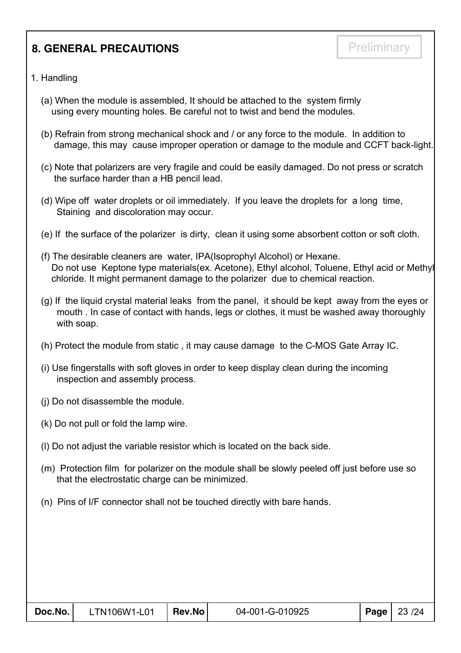### **8. GENERAL PRECAUTIONS**

- 1. Handling
	- (a) When the module is assembled, It should be attached to the system firmly using every mounting holes. Be careful not to twist and bend the modules.
	- (b) Refrain from strong mechanical shock and / or any force to the module. In addition to damage, this may cause improper operation or damage to the module and CCFT back-light.
	- (c) Note that polarizers are very fragile and could be easily damaged. Do not press or scratch the surface harder than a HB pencil lead.
	- (d) Wipe off water droplets or oil immediately. If you leave the droplets for a long time, Staining and discoloration may occur.
	- (e) If the surface of the polarizer is dirty, clean it using some absorbent cotton or soft cloth.
	- (f) The desirable cleaners are water, IPA(Isoprophyl Alcohol) or Hexane. Do not use Keptone type materials(ex. Acetone), Ethyl alcohol, Toluene, Ethyl acid or Methyl chloride. It might permanent damage to the polarizer due to chemical reaction.
	- (g) If the liquid crystal material leaks from the panel, it should be kept away from the eyes or mouth . In case of contact with hands, legs or clothes, it must be washed away thoroughly with soap.
	- (h) Protect the module from static , it may cause damage to the C-MOS Gate Array IC.
	- (i) Use fingerstalls with soft gloves in order to keep display clean during the incoming inspection and assembly process.
	- (j) Do not disassemble the module.
	- (k) Do not pull or fold the lamp wire.
	- (l) Do not adjust the variable resistor which is located on the back side.
	- (m) Protection film for polarizer on the module shall be slowly peeled off just before use so that the electrostatic charge can be minimized.
	- (n) Pins of I/F connector shall not be touched directly with bare hands.

| Doc.No. | $LTN106W1-L01$   Rev.No | 04-001-G-010925 | <b>Page</b> $23/24$ |
|---------|-------------------------|-----------------|---------------------|